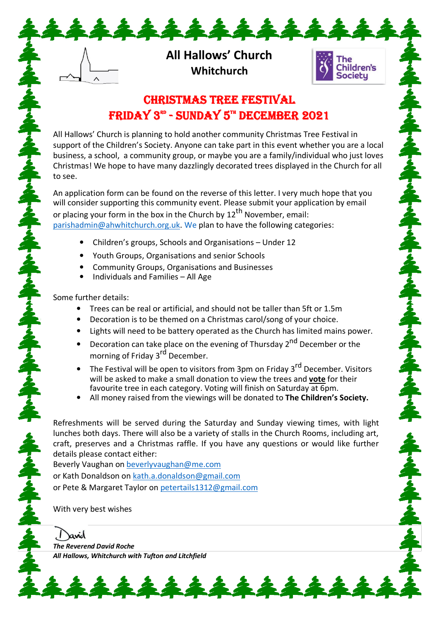**All Hallows' Church Whitchurch** 

\*\*\*\*\*\*\*\*\*



### **CHRISTMAS TREE FESTIVAL** FRIDAY 3<sup>80</sup> - SUNDAY 5<sup>th</sup> DECEMBER 2021

All Hallows' Church is planning to hold another community Christmas Tree Festival in support of the Children's Society. Anyone can take part in this event whether you are a local business, a school, a community group, or maybe you are a family/individual who just loves Christmas! We hope to have many dazzlingly decorated trees displayed in the Church for all to see.

An application form can be found on the reverse of this letter. I very much hope that you will consider supporting this community event. Please submit your application by email or placing your form in the box in the Church by  $12<sup>th</sup>$  November, email: parishadmin@ahwhitchurch.org.uk. We plan to have the following categories:

- Children's groups, Schools and Organisations Under 12
- Youth Groups, Organisations and senior Schools
- Community Groups, Organisations and Businesses
- Individuals and Families All Age

Some further details:

- Trees can be real or artificial, and should not be taller than 5ft or 1.5m
- Decoration is to be themed on a Christmas carol/song of your choice.
- Lights will need to be battery operated as the Church has limited mains power.
- Decoration can take place on the evening of Thursday 2<sup>nd</sup> December or the morning of Friday 3<sup>rd</sup> December.
- The Festival will be open to visitors from 3pm on Friday 3<sup>rd</sup> December. Visitors will be asked to make a small donation to view the trees and **vote** for their favourite tree in each category. Voting will finish on Saturday at 6pm.
- All money raised from the viewings will be donated to **The Children's Society.**

Refreshments will be served during the Saturday and Sunday viewing times, with light lunches both days. There will also be a variety of stalls in the Church Rooms, including art, craft, preserves and a Christmas raffle. If you have any questions or would like further details please contact either:

Beverly Vaughan on beverlyvaughan@me.com or Kath Donaldson on kath.a.donaldson@gmail.com or Pete & Margaret Taylor on petertails1312@gmail.com

\*\*\*\*\*\*\*\*\*\*\*\*

With very best wishes

avid *The Reverend David Roche All Hallows, Whitchurch with Tufton and Litchfield*